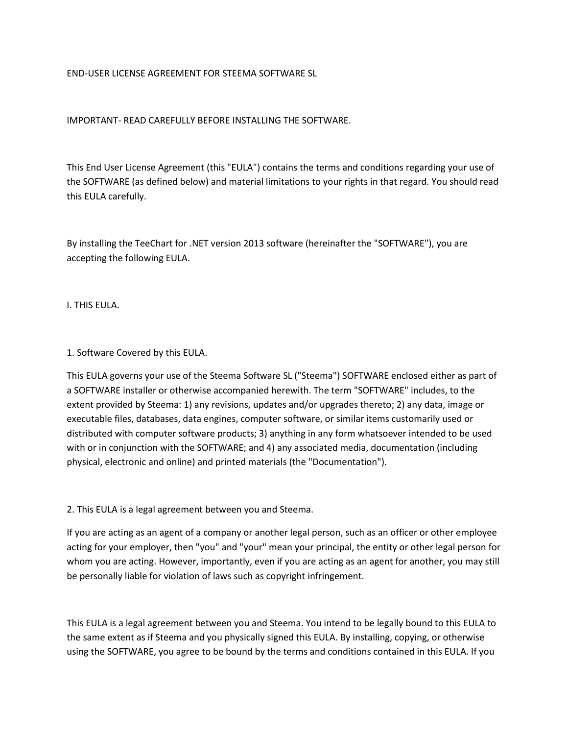### END-USER LICENSE AGREEMENT FOR STEEMA SOFTWARE SL

### IMPORTANT- READ CAREFULLY BEFORE INSTALLING THE SOFTWARE.

This End User License Agreement (this "EULA") contains the terms and conditions regarding your use of the SOFTWARE (as defined below) and material limitations to your rights in that regard. You should read this EULA carefully.

By installing the TeeChart for .NET version 2013 software (hereinafter the "SOFTWARE"), you are accepting the following EULA.

I. THIS EULA.

1. Software Covered by this EULA.

This EULA governs your use of the Steema Software SL ("Steema") SOFTWARE enclosed either as part of a SOFTWARE installer or otherwise accompanied herewith. The term "SOFTWARE" includes, to the extent provided by Steema: 1) any revisions, updates and/or upgrades thereto; 2) any data, image or executable files, databases, data engines, computer software, or similar items customarily used or distributed with computer software products; 3) anything in any form whatsoever intended to be used with or in conjunction with the SOFTWARE; and 4) any associated media, documentation (including physical, electronic and online) and printed materials (the "Documentation").

2. This EULA is a legal agreement between you and Steema.

If you are acting as an agent of a company or another legal person, such as an officer or other employee acting for your employer, then "you" and "your" mean your principal, the entity or other legal person for whom you are acting. However, importantly, even if you are acting as an agent for another, you may still be personally liable for violation of laws such as copyright infringement.

This EULA is a legal agreement between you and Steema. You intend to be legally bound to this EULA to the same extent as if Steema and you physically signed this EULA. By installing, copying, or otherwise using the SOFTWARE, you agree to be bound by the terms and conditions contained in this EULA. If you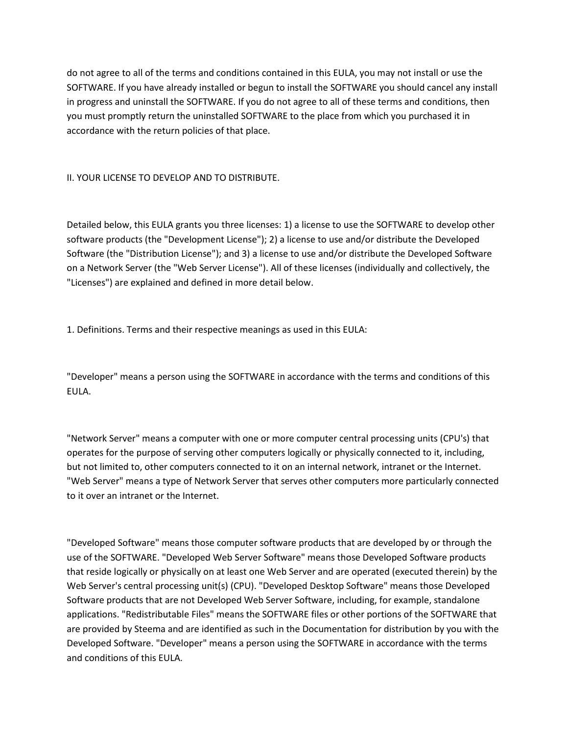do not agree to all of the terms and conditions contained in this EULA, you may not install or use the SOFTWARE. If you have already installed or begun to install the SOFTWARE you should cancel any install in progress and uninstall the SOFTWARE. If you do not agree to all of these terms and conditions, then you must promptly return the uninstalled SOFTWARE to the place from which you purchased it in accordance with the return policies of that place.

II. YOUR LICENSE TO DEVELOP AND TO DISTRIBUTE.

Detailed below, this EULA grants you three licenses: 1) a license to use the SOFTWARE to develop other software products (the "Development License"); 2) a license to use and/or distribute the Developed Software (the "Distribution License"); and 3) a license to use and/or distribute the Developed Software on a Network Server (the "Web Server License"). All of these licenses (individually and collectively, the "Licenses") are explained and defined in more detail below.

1. Definitions. Terms and their respective meanings as used in this EULA:

"Developer" means a person using the SOFTWARE in accordance with the terms and conditions of this EULA.

"Network Server" means a computer with one or more computer central processing units (CPU's) that operates for the purpose of serving other computers logically or physically connected to it, including, but not limited to, other computers connected to it on an internal network, intranet or the Internet. "Web Server" means a type of Network Server that serves other computers more particularly connected to it over an intranet or the Internet.

"Developed Software" means those computer software products that are developed by or through the use of the SOFTWARE. "Developed Web Server Software" means those Developed Software products that reside logically or physically on at least one Web Server and are operated (executed therein) by the Web Server's central processing unit(s) (CPU). "Developed Desktop Software" means those Developed Software products that are not Developed Web Server Software, including, for example, standalone applications. "Redistributable Files" means the SOFTWARE files or other portions of the SOFTWARE that are provided by Steema and are identified as such in the Documentation for distribution by you with the Developed Software. "Developer" means a person using the SOFTWARE in accordance with the terms and conditions of this EULA.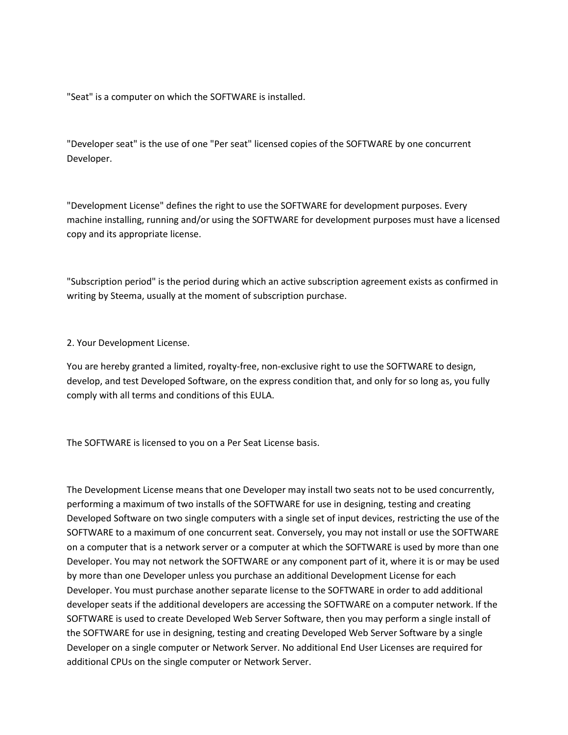"Seat" is a computer on which the SOFTWARE is installed.

"Developer seat" is the use of one "Per seat" licensed copies of the SOFTWARE by one concurrent Developer.

"Development License" defines the right to use the SOFTWARE for development purposes. Every machine installing, running and/or using the SOFTWARE for development purposes must have a licensed copy and its appropriate license.

"Subscription period" is the period during which an active subscription agreement exists as confirmed in writing by Steema, usually at the moment of subscription purchase.

2. Your Development License.

You are hereby granted a limited, royalty-free, non-exclusive right to use the SOFTWARE to design, develop, and test Developed Software, on the express condition that, and only for so long as, you fully comply with all terms and conditions of this EULA.

The SOFTWARE is licensed to you on a Per Seat License basis.

The Development License means that one Developer may install two seats not to be used concurrently, performing a maximum of two installs of the SOFTWARE for use in designing, testing and creating Developed Software on two single computers with a single set of input devices, restricting the use of the SOFTWARE to a maximum of one concurrent seat. Conversely, you may not install or use the SOFTWARE on a computer that is a network server or a computer at which the SOFTWARE is used by more than one Developer. You may not network the SOFTWARE or any component part of it, where it is or may be used by more than one Developer unless you purchase an additional Development License for each Developer. You must purchase another separate license to the SOFTWARE in order to add additional developer seats if the additional developers are accessing the SOFTWARE on a computer network. If the SOFTWARE is used to create Developed Web Server Software, then you may perform a single install of the SOFTWARE for use in designing, testing and creating Developed Web Server Software by a single Developer on a single computer or Network Server. No additional End User Licenses are required for additional CPUs on the single computer or Network Server.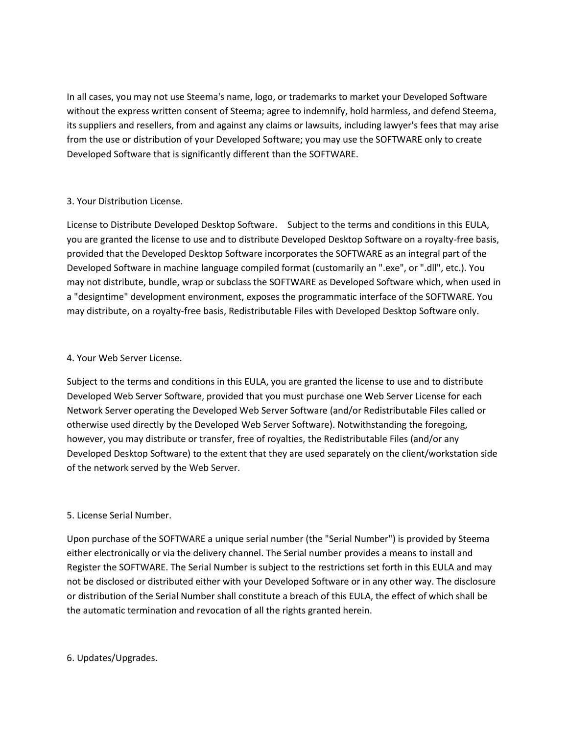In all cases, you may not use Steema's name, logo, or trademarks to market your Developed Software without the express written consent of Steema; agree to indemnify, hold harmless, and defend Steema, its suppliers and resellers, from and against any claims or lawsuits, including lawyer's fees that may arise from the use or distribution of your Developed Software; you may use the SOFTWARE only to create Developed Software that is significantly different than the SOFTWARE.

## 3. Your Distribution License.

License to Distribute Developed Desktop Software. Subject to the terms and conditions in this EULA, you are granted the license to use and to distribute Developed Desktop Software on a royalty-free basis, provided that the Developed Desktop Software incorporates the SOFTWARE as an integral part of the Developed Software in machine language compiled format (customarily an ".exe", or ".dll", etc.). You may not distribute, bundle, wrap or subclass the SOFTWARE as Developed Software which, when used in a "designtime" development environment, exposes the programmatic interface of the SOFTWARE. You may distribute, on a royalty-free basis, Redistributable Files with Developed Desktop Software only.

## 4. Your Web Server License.

Subject to the terms and conditions in this EULA, you are granted the license to use and to distribute Developed Web Server Software, provided that you must purchase one Web Server License for each Network Server operating the Developed Web Server Software (and/or Redistributable Files called or otherwise used directly by the Developed Web Server Software). Notwithstanding the foregoing, however, you may distribute or transfer, free of royalties, the Redistributable Files (and/or any Developed Desktop Software) to the extent that they are used separately on the client/workstation side of the network served by the Web Server.

# 5. License Serial Number.

Upon purchase of the SOFTWARE a unique serial number (the "Serial Number") is provided by Steema either electronically or via the delivery channel. The Serial number provides a means to install and Register the SOFTWARE. The Serial Number is subject to the restrictions set forth in this EULA and may not be disclosed or distributed either with your Developed Software or in any other way. The disclosure or distribution of the Serial Number shall constitute a breach of this EULA, the effect of which shall be the automatic termination and revocation of all the rights granted herein.

### 6. Updates/Upgrades.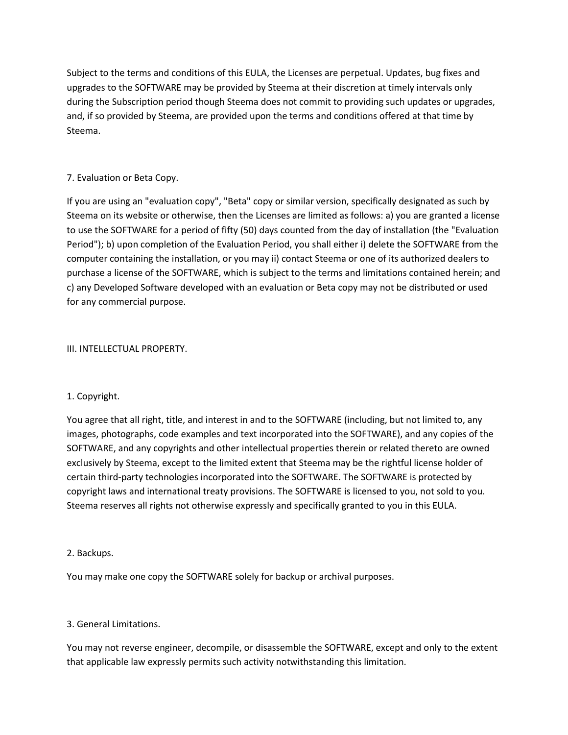Subject to the terms and conditions of this EULA, the Licenses are perpetual. Updates, bug fixes and upgrades to the SOFTWARE may be provided by Steema at their discretion at timely intervals only during the Subscription period though Steema does not commit to providing such updates or upgrades, and, if so provided by Steema, are provided upon the terms and conditions offered at that time by Steema.

## 7. Evaluation or Beta Copy.

If you are using an "evaluation copy", "Beta" copy or similar version, specifically designated as such by Steema on its website or otherwise, then the Licenses are limited as follows: a) you are granted a license to use the SOFTWARE for a period of fifty (50) days counted from the day of installation (the "Evaluation Period"); b) upon completion of the Evaluation Period, you shall either i) delete the SOFTWARE from the computer containing the installation, or you may ii) contact Steema or one of its authorized dealers to purchase a license of the SOFTWARE, which is subject to the terms and limitations contained herein; and c) any Developed Software developed with an evaluation or Beta copy may not be distributed or used for any commercial purpose.

### III. INTELLECTUAL PROPERTY.

# 1. Copyright.

You agree that all right, title, and interest in and to the SOFTWARE (including, but not limited to, any images, photographs, code examples and text incorporated into the SOFTWARE), and any copies of the SOFTWARE, and any copyrights and other intellectual properties therein or related thereto are owned exclusively by Steema, except to the limited extent that Steema may be the rightful license holder of certain third-party technologies incorporated into the SOFTWARE. The SOFTWARE is protected by copyright laws and international treaty provisions. The SOFTWARE is licensed to you, not sold to you. Steema reserves all rights not otherwise expressly and specifically granted to you in this EULA.

### 2. Backups.

You may make one copy the SOFTWARE solely for backup or archival purposes.

### 3. General Limitations.

You may not reverse engineer, decompile, or disassemble the SOFTWARE, except and only to the extent that applicable law expressly permits such activity notwithstanding this limitation.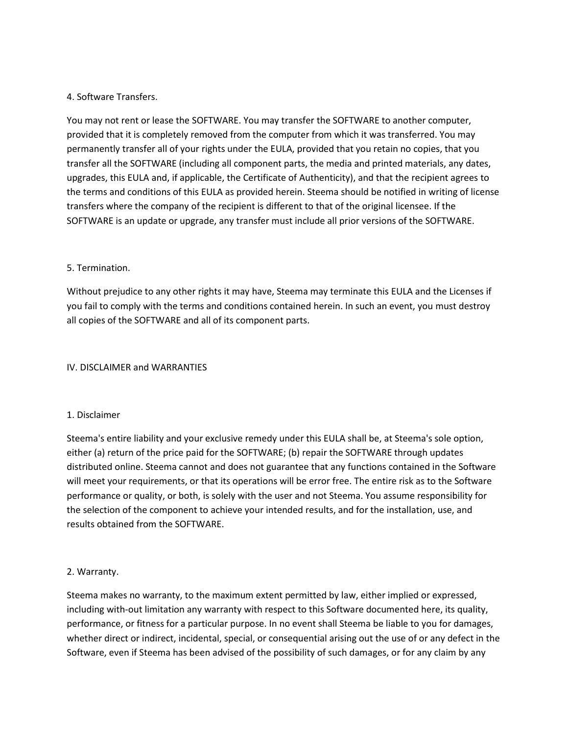## 4. Software Transfers.

You may not rent or lease the SOFTWARE. You may transfer the SOFTWARE to another computer, provided that it is completely removed from the computer from which it was transferred. You may permanently transfer all of your rights under the EULA, provided that you retain no copies, that you transfer all the SOFTWARE (including all component parts, the media and printed materials, any dates, upgrades, this EULA and, if applicable, the Certificate of Authenticity), and that the recipient agrees to the terms and conditions of this EULA as provided herein. Steema should be notified in writing of license transfers where the company of the recipient is different to that of the original licensee. If the SOFTWARE is an update or upgrade, any transfer must include all prior versions of the SOFTWARE.

### 5. Termination.

Without prejudice to any other rights it may have, Steema may terminate this EULA and the Licenses if you fail to comply with the terms and conditions contained herein. In such an event, you must destroy all copies of the SOFTWARE and all of its component parts.

### IV. DISCLAIMER and WARRANTIES

### 1. Disclaimer

Steema's entire liability and your exclusive remedy under this EULA shall be, at Steema's sole option, either (a) return of the price paid for the SOFTWARE; (b) repair the SOFTWARE through updates distributed online. Steema cannot and does not guarantee that any functions contained in the Software will meet your requirements, or that its operations will be error free. The entire risk as to the Software performance or quality, or both, is solely with the user and not Steema. You assume responsibility for the selection of the component to achieve your intended results, and for the installation, use, and results obtained from the SOFTWARE.

### 2. Warranty.

Steema makes no warranty, to the maximum extent permitted by law, either implied or expressed, including with-out limitation any warranty with respect to this Software documented here, its quality, performance, or fitness for a particular purpose. In no event shall Steema be liable to you for damages, whether direct or indirect, incidental, special, or consequential arising out the use of or any defect in the Software, even if Steema has been advised of the possibility of such damages, or for any claim by any